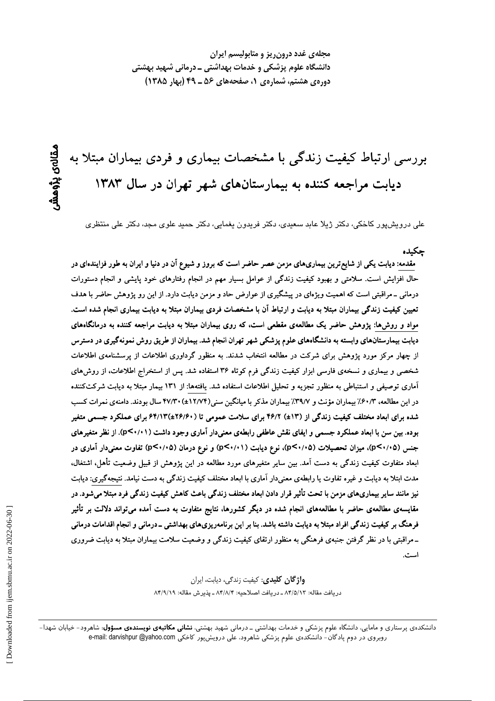مجلهی غدد درون ریز و متابولیسم ایران دانشگاه علوم پزشکی و خدمات بهداشتی ـ درمانی شهید بهشتی دورهی هشتم، شمارهی ۱، صفحههای ۵۶ ـ ۴۹ (بهار ۱۳۸۵)

بررسی ارتباط کیفیت زندگی با مشخصات بیماری و فردی بیماران مبتلا به دیابت مراجعه کننده به بیمارستانهای شهر تهران در سال ۱۳۸۳

علی درویشپور کاخکی، دکتر ژیلا عابد سعیدی، دکتر فریدون یغمایی، دکتر حمید علوی مجد، دکتر علی منتظری

جكىدە مقدمه: دیابت یکی از شایع ترین بیماریهای مزمن عصر حاضر است که بروز و شیوع آن در دنیا و ایران به طور فزایندهای در حال افزایش است. سلامتی و بهبود کیفیت زندگی از عوامل بسیار مهم در انجام رفتارهای خود پایشی و انجام دستورات درمانی ـ مراقبتی است که اهمیت ویژهای در پیشگیری از عوارض حاد و مزمن دیابت دارد. از این رو پژوهش حاضر با هدف تعیین کیفیت زندگی بیماران مبتلا به دیابت و ارتباط آن با مشخصات فردی بیماران مبتلا به دیابت بیماری انجام شده است. مواد و روشها: پژوهش حاضر یک مطالعهی مقطعی است، که روی بیماران مبتلا به دیابت مراجعه کننده به درمانگاههای دیابت بیمارستانهای وابسته به دانشگاههای علوم پزشکی شهر تهران انجام شد. بیماران از طریق روش نمونهگیری در دسترس از چهار مرکز مورد پژوهش برای شرکت در مطالعه انتخاب شدند. به منظور گرداوری اطلاعات از پرسشنامهی اطلاعات شخصی و بیماری و نسخهی فارسی ابزار کیفیت زندگی فرم کوتاه ۳۶ استفاده شد. پس از استخراج اطلاعات، از روشهای آماری توصیفی و استنباطی به منظور تجزیه و تحلیل اطلاعات استفاده شد. یافتهها: از ۱۳۱ بیمار مبتلا به دیابت شرکتکننده در این مطالعه، ۶۰/۳٪ بیماران مؤنث و ۳۹/۷٪ بیماران مذکر با میانگین سنی(۱۲/۷۴±۲۷/۳۰) سال بودند. دامنهی نمرات کسب شده برای ابعاد مختلف کیفیت زندگی از (۱۳±) ۴۶/۲ برای سلامت عمومی تا (۲۶/۶۰±۴۴/۱۳) برای عملکرد جسمی متغیر بوده. بین سن با ابعاد عملکرد جسمی و ایفای نقش عاطفی رابطهی معنیدار آماری وجود داشت (p<۰/۱۱). از نظر متغیرهای جنس (p<۰/۰۵)، میزان تحصیلات (p<۰/۰۵)، نوع دیابت (p<۰/۰۱) و نوع درمان (p<۰/۰۵) تفاوت معنیدار آماری در ابعاد متفاوت کیفیت زندگی به دست آمد. بین سایر متغیرهای مورد مطالعه در این پژوهش از قبیل وضعیت تأهل، اشتغال، مدت ابتلا به دیابت و غیره تفاوت یا رابطهی معنی دار آماری با ابعاد مختلف کیفیت زندگی به دست نیامد. نتیجهگیری: دیابت نیز مانند سایر بیماریهای مزمن با تحت تأثیر قرار دادن ابعاد مختلف زندگی باعث کاهش کیفیت زندگی فرد مبتلا میشود. در مقایسهی مطالعهی حاضر با مطالعههای انجام شده در دیگر کشورها، نتایج متفاوت به دست آمده میتواند دلالت بر تأثیر فرهنگ بر کیفیت زندگی افراد مبتلا به دیابت داشته باشد. بنا بر این برنامهریزیهای بهداشتی ـ درمانی و انجام اقدامات درمانی ـ مراقبتی با در نظر گرفتن جنبهی فرهنگی به منظور ارتقای کیفیت زندگی و وضعیت سلامت بیماران مبتلا به دیابت ضروری است.

> **واژگان کلیدی**: کیفیت زندگی، دیابت، ایران دريافت مقاله: ٨۴/٥/١٣ ـ دريافت اصلاحيه: ٨۴/٨/٢ ـ يذيرش مقاله: ٨۴/٩/١٩

دانشکدهی پرستاری و مامایی، دانشگاه علوم پزشکی و خدمات بهداشتی ــ درمانی شهید بهشتی، **نشانی مکاتبهی نویسندهی مسؤول**: شاهرود– خیابان شهدا– روبروی در دوم پادگان- دانشکدهی علوم پزشکی شاهرود، علی درویشپور کاخکی e-mail: darvishpur @yahoo.com

ىقالەي يۆھمش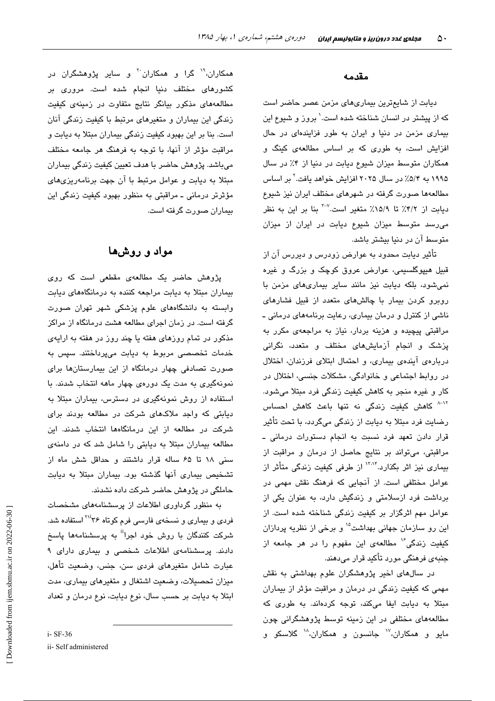#### مقدمه

دیابت از شایعترین بیماریهای مزمن عصر حاضر است که از پیشتر در انسان شناخته شده است.' بروز و شیوع این بیماری مزمن در دنیا و ایران به طور فزایندهای در حال افزایش است، به طوری که بر اساس مطالعهی کینگ و همکاران متوسط میزان شیوع دیابت در دنیا از ۴٪ در سال ۱۹۹۵ به ۵/۴٪ در سال ۲۰۲۵ افزایش خواهد یافت.<sup>۲</sup> بر اساس مطالعهها صورت گرفته در شهرهای مختلف ایران نیز شیوع دیابت از ۴/۲٪ تا ۱۵/۹٪ متغیر است.<sup>7-۷</sup> بنا بر این به نظر می رسد متوسط میزان شیوع دیابت در ایران از میزان متوسط آن در دنیا بیشتر باشد.

تأثیر دیابت محدود به عوارض زودرس و دیررس آن از قبیل هیپوگلسیمی، عوارض عروق کوچک و بزرگ و غیره نمی شود، بلکه دیابت نیز مانند سایر بیماری های مزمن با روبرو کردن بیمار با چالشهای متعدد از قبیل فشارهای ناشی از کنترل و درمان بیماری، رعایت برنامههای درمانی ـ مراقبتی پیچیده و هزینه بردار، نیاز به مراجعهی مکرر به یزشک و انجام آزمایشهای مختلف و متعدد، نگرانی دربارهی آیندهی بیماری، و احتمال ابتلای فرزندان، اختلال در روابط اجتماعی و خانوادگی، مشکلات جنسی، اختلال در کار و غیره منجر به کاهش کیفیت زندگی فرد مبتلا میشود. <sup>۸-۱۲</sup> کاهش کیفیت زندگی نه تنها باعث کاهش احساس رضایت فرد مبتلا به دیابت از زندگی میگردد، با تحت تأثیر قرار دادن تعهد فرد نسبت به انجام دستورات درمانی ـ مراقبتی، میتواند بر نتایج حاصل از درمان و مراقبت از بیماری نیز اثر بگذارد.<sup>۱۳،۱۴</sup> از طرفی کیفیت زندگی متأثر از عوامل مختلفی است. از آنجایی که فرهنگ نقش مهمی در برداشت فرد ازسلامتی و زندگیش دارد، به عنوان یکی از عوامل مهم اثرگزار بر کیفیت زندگی شناخته شده است. از این رو سازمان جهانی بهداشت<sup>۱۵</sup> و برخی از نظریه پردازان کیفیت زندگی<sup>۱۶</sup> مطالعهی این مفهوم را در هر جامعه از جنبه*ی* فرهنگی مورد تأکید قرار میدهند.

در سالهای اخیر پژوهشگران علوم بهداشتی به نقش مهمی که کیفیت زندگی در درمان و مراقبت مؤثر از بیماران مبتلا به دیابت ایفا میکند، توجه کردهاند. به طوری که مطالعههای مختلفی در این زمینه توسط پژوهشگرانی چون مايو و همکاران،<sup>۱۷</sup> جانسون و همکاران،<sup>۱۸</sup> گلاسکو و

همکاران،<sup>۱۹</sup> گرا و همکاران<sup>۲۰</sup> و سایر پژوهشگران در کشور*های* مختلف دنیا انجام شده است. مرور*ی* بر مطالعههای مذکور بیانگر نتایج متفاوت در زمینهی کیفیت زندگی این بیماران و متغیرهای مرتبط با کیفیت زندگی آنان است. بنا بر این بهبود کیفیت زندگی بیماران مبتلا به دیابت و مراقبت مؤثر از آنها، با توجه به فرهنگ هر جامعه مختلف ميباشد. پژوهش حاضر با هدف تعيين کيفيت زندگي بيماران مبتلا به دیابت و عوامل مرتبط با آن جهت برنامهریزی های مؤثرتر درمانی ــ مراقبتی به منظور بهبود کیفیت زندگی این بیماران صورت گرفته است.

## مواد و روشها

پژوهش حاضر یک مطالعهی مقطعی است که روی بیماران مبتلا به دیابت مراجعه کننده به درمانگاههای دیابت وابسته به دانشگاههای علوم پزشکی شهر تهران صورت گرفته است. در زمان اجرای مطالعه هشت درمانگاه از مراکز مذکور در تمام روزهای هفته یا چند روز در هفته به ارایهی خدمات تخصصی مربوط به دیابت می پرداختند. سپس به صورت تصادفی چهار درمانگاه از این بیمارستانها برای نمونهگیری به مدت یک دورهی چهار ماهه انتخاب شدند. با استفاده از روش نمونهگیری در دسترس، بیماران مبتلا به دیابتی که واجد ملاکهای شرکت در مطالعه بودند برای شرکت در مطالعه از این درمانگاهها انتخاب شدند. این مطالعه بیماران مبتلا به دیابتی را شامل شد که در دامنهی سنی ١٨ تا ۶۵ ساله قرار داشتند و حداقل شش ماه از تشخیص بیماری آنها گذشته بود. بیماران مبتلا به دیابت حاملگی در پژوهش حاضر شرکت داده نشدند.

به منظور گرداوری اطلاعات از پرسشنامههای مشخصات فردی و بیماری و نسخهی فارسی فرم کوتاه ۳۶<sup>۲۱٬</sup> استفاده شد. شرکت کنندگان با روش خود اجرا<sup>!!</sup> به پرسشنامهها پاسخ دادند. پرسشنامهی اطلاعات شخصی و بیماری دارای ۹ عبارت شامل متغیرهای فردی سن، جنس، وضعیت تأهل، میزان تحصیلات، وضعیت اشتغال و متغیرهای بیماری، مدت ابتلا به دیابت بر حسب سال، نوع دیابت، نوع درمان و تعداد

 $i-$  SF-36

ii- Self administered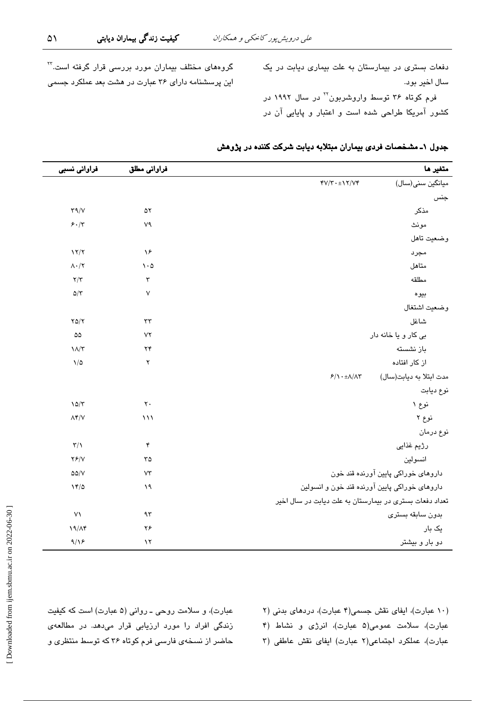دفعات بستری در بیمارستان به علت بیماری دیابت در یک سال اخير بود.

فرم کوتاه ۳۶ توسط واروشربون<sup>۲۲</sup> در سال ۱۹۹۲ در کشور آمریکا طراحی شده است و اعتبار و پایایی آن در

| گروههای مختلف بیماران مورد بررسی قرار گرفته است. <sup>۲۲</sup> |
|----------------------------------------------------------------|
| ین پرسشنامه دارای ۳۶ عبارت در هشت بعد عملکرد جسمی              |

|  |  | جدول ۱ـ مشخصات فردی بیماران مبتلابه دیابت شرکت کننده در پژوهش |  |
|--|--|---------------------------------------------------------------|--|
|--|--|---------------------------------------------------------------|--|

| متغير ها                                      |                                                         | فراواني مطلق                  | فراواني نسبي               |
|-----------------------------------------------|---------------------------------------------------------|-------------------------------|----------------------------|
| ميانگين سني(سال)                              | $fV/\tau \cdot \pm 17/Vf$                               |                               |                            |
| جنس                                           |                                                         |                               |                            |
| مذكر                                          |                                                         | $\Delta \Upsilon$             | $\Upsilon \Upsilon / V$    |
| مونث                                          |                                                         | ٧٩                            | 5.7                        |
| وضعيت تاهل                                    |                                                         |                               |                            |
| مجرد                                          |                                                         | $\lambda^{\epsilon}$          | $\frac{1}{\sqrt{2}}$       |
| متاهل                                         |                                                         | $\mathcal{N}\cdot\mathcal{Q}$ | $\Lambda \cdot / \Upsilon$ |
| مطلقه                                         |                                                         | $\mathbf{\tilde{r}}$          | $\mathbf{Y}/\mathbf{Y}$    |
| بيوه                                          |                                                         | $\mathsf{V}$                  | $\Delta/\Upsilon$          |
| وضعيت اشتغال                                  |                                                         |                               |                            |
| شاغل                                          |                                                         | $\tau\tau$                    | YQ/Y                       |
| بی کار و یا خانه دار                          |                                                         | $V\Upsilon$                   | $\Delta\Delta$             |
| باز نشسته                                     |                                                         | $\mathbf{Y} \mathbf{Y}$       | $\lambda/\tau$             |
| از کار افتاده                                 |                                                         | $\mathsf{r}$                  | $\sqrt{\Delta}$            |
| مدت ابتلا به دیابت(سال)                       | $5/\lambda \cdot \pm \lambda/\lambda \Upsilon$          |                               |                            |
| نوع ديابت                                     |                                                         |                               |                            |
| نوع ۱                                         |                                                         | $\mathbf{\bar{y}}$ .          | $10/\tau$                  |
| نوع ۲                                         |                                                         | $\mathcal{W}$                 | $\Lambda$ ۴/V              |
| نوع درمان                                     |                                                         |                               |                            |
| رژیم غذایی                                    |                                                         | $\mathbf{r}$                  | $\mathbf{r}/\mathbf{v}$    |
| انسولين                                       |                                                         | ۳۵                            | YY/Y                       |
| داروهای خوراکی پایین آورنده قند خون           |                                                         | VT                            | $\Delta\Delta/V$           |
| داروهای خوراکی پایین آورنده قند خون و انسولین |                                                         | $\lambda$                     | 17/0                       |
|                                               | تعداد دفعات بستری در بیمارستان به علت دیابت در سال اخیر |                               |                            |
| بدون سابقه بسترى                              |                                                         | ۹٣                            | $\vee$                     |
| یک بار                                        |                                                         | ۲۶                            | $19/\Lambda f$             |
| دو بار و بیشتر                                |                                                         | $\lambda$                     | 9/19                       |

(١٠ عبارت)، ایفای نقش جسمی (۴ عبارت)، دردهای بدنی (٢ عبارت)، سلامت عمومی(۵ عبارت)، انرژی و نشاط (۴ عبارت)، عملكرد اجتماعى (٢ عبارت) ايفاى نقش عاطفى (٣

عبارت)، و سلامت روحی ـ روانی (۵ عبارت) است که کیفیت زندگی افراد را مورد ارزیابی قرار میدهد. در مطالعهی حاضر از نسخهی فارسی فرم کوتاه ۳۶ که توسط منتظری و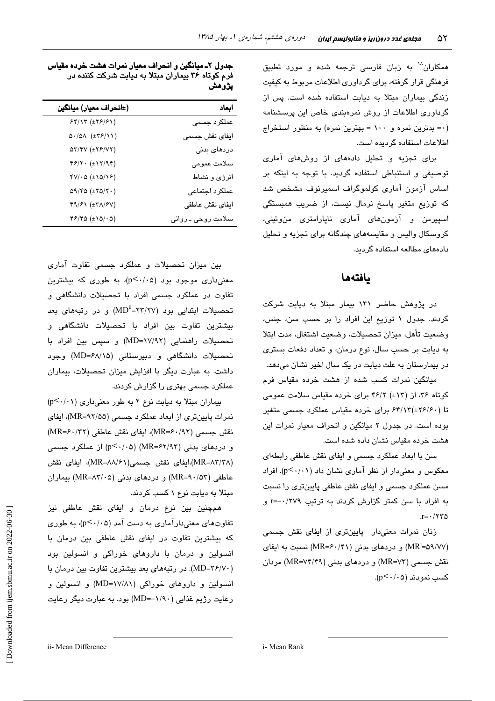همکاران<sup>۱۸</sup> به زبان فارس*ی* ترجمه شده و مورد تطبیق فرهنگی قرار گرفته، برای گرداوری اطلاعات مربوط به کیفیت زندگی بیماران مبتلا به دیابت استفاده شده است. پس از گرداوری اطلاعات از روش نمرهبندی خاص این پرسشنامه (۰= بدترین نمره و ۱۰۰ = بهترین نمره) به منظور استخراج اطلاعات استفاده گردىده است.

برای تجزیه و تحلیل دادههای از روشهای آماری توصیفی و استنباطی استفاده گردید. با توجه به اینکه بر اساس آزمون آماری کولموگراف اسمبرنوف مشخص شد که توزیع متغیر پاسخ نرمال نیست، از ضریب همبستگی اسپیرمن و آزمونهای آماری ناپارامتری منوتینی، کروسکال والیس و مقایسههای چندگانه برای تجزیه و تحلیل دادههای مطالعه استفاده گردید.

### بافتهها

در پژوهش حاضر ۱۳۱ بیمار مبتلا به دیابت شرکت کردند. جدول ۱ توزیع این افراد را بر حسب سن، جنس، وضعيت تأهل، ميزان تحصيلات، وضعيت اشتغال، مدت ابتلا به دیابت بر حسب سال، نوع درمان، و تعداد دفعات بستری در بیمارستان به علت دیابت در یک سال اخیر نشان میدهد.

میانگین نمرات کسب شده از هشت خرده مقیاس فرم کوتاه ۳۶، از (۱۳±) ۴۶/۲ برای خرده مقیاس سلامت عمومی تا (۲۶/۶۰±)۶۴/۱۳ برای خرده مقیاس عملکرد جسمی متغیر بوده است. در جدول ۲ میانگین و انحراف معیار نمرات این هشت خرده مقیاس نشان داده شده است.

سن با ابعاد عملکرد جسمی و ایفای نقش عاطفی رابطهای معکوس و معنی دار از نظر آماری نشان داد (p<۰/۰۱). افراد مسن عملکرد جسمی و ایفای نقش عاطفی پایینتری را نسبت به افراد با سن کمتر گزارش کردند به ترتیب ۰/۲۷۹-=r و  $r = \frac{1}{\sqrt{1 - \frac{1}{\sqrt{1 - \frac{1}{\sqrt{1 - \frac{1}{\sqrt{1 - \frac{1}{\sqrt{1 - \frac{1}{\sqrt{1 - \frac{1}{\sqrt{1 - \frac{1}{\sqrt{1 - \frac{1}{\sqrt{1 - \frac{1}{\sqrt{1 - \frac{1}{\sqrt{1 - \frac{1}{\sqrt{1 - \frac{1}{\sqrt{1 - \frac{1}{\sqrt{1 - \frac{1}{\sqrt{1 - \frac{1}{\sqrt{1 - \frac{1}{\sqrt{1 - \frac{1}{\sqrt{1 - \frac{1}{\sqrt{1 - \frac{1}{\sqrt{1 - \frac{1}{\sqrt{1 - \frac{1}{\sqrt{$ 

زنان نمرات معنیدار پایینتری از ایفای نقش جسمی (MR<sup>i</sup>=۵۹/۷۷) و دردهای بدنی (MR=۶۰/۴۱) نسبت به ایفای نقش جسمی (MR=۷۳) و دردهای بدنی (MR=۷۴/۴۹) مردان کسب نمو دند (p<٠/٠۵).

جدول ۲ـ میانگین و انحراف معیار نمرات هشت خرده مقیاس فرم کوتاه ۳۶ بیماران مبتلا به دیابت شرکت کننده در پژوهش

| (±انحراف معيار) ميانگين                                                                          | ابعاد              |
|--------------------------------------------------------------------------------------------------|--------------------|
| $54/17 \left( \pm 79/51 \right)$                                                                 | عملکرد جسمی        |
| $\Delta \cdot / \Delta \Lambda \ (\pm \Upsilon \mathcal{F} / 11)$                                | ایفای نقش جسمی     |
| $\Delta \Upsilon / \Upsilon V \left( \pm \Upsilon \mathcal{F} / V \Upsilon \right)$              | دردهای بدنی        |
| $\mathfrak{f}\mathfrak{F}/\mathsf{Y}\cdot\ (\pm\mathsf{Y}/\mathsf{Y}\mathfrak{f})$               | سلامت عمومى        |
| $fV/\cdot \Delta (\pm \Delta/\Delta)$                                                            | انرژی و نشاط       |
| $\Delta \text{1} / \text{2} \Delta \left( \pm \text{1} \Delta / \text{1} \cdot \text{1} \right)$ | عملكرد اجتماعى     |
| $f9/51 \left( \pm 7/\sqrt{50} \right)$                                                           | ايفاي نقش عاطفي    |
| $f$ $f$ $f$ $\circ$ $( \pm \Delta / \cdot \Delta )$                                              | سلامت روحی ـ روانی |

بین میزان تحصیلات و عملکرد جسمی تفاوت آماری معنی داری موجود بود (p<٠/٠۵)، به طوری که بیشترین تفاوت در عملکرد جسمی افراد با تحصیلات دانشگاهی و تحصیلات ابتدایی بود (۲۲/۲۷=MD<sup>ii</sup>) و در رتبههای بعد بیشترین تفاوت بین افراد با تحصیلات دانشگاهی و تحصیلات راهنمایی (۱۷/۹۲=MD) و سپس بین افراد با تحصیلات دانشگاهی و دبیرستانی (MD=۶۸/۱۵) وجود داشت. به عبارت دیگر با افزایش میزان تحصیلات، بیماران عملکرد جسمی بهتری را گزارش کردند.

بیماران مبتلا به دیابت نوع ۲ به طور معنیداری (p<٠/٠١) نمرات پایینتری از ابعاد عملکرد جسمی (MR=۹۲/۵۵)، ایفای نقش جسمي (MR=۶۰/۹۲)، ايفاي نقش عاطفي (MR=۶۰/۳۲) و دردهای بدنی (MR=۶۲/۹۳) (p<۰/۰۵) از عملکرد جسمی (MR=۸۳/۳۸)،ایفای نقش جسمی(۸۸/۶۱–MR)، ایفای نقش عاطفی (MR=۹۰/۵۳) و دردهای بدنی (MR=۸۳/۰۵) بیماران مبتلا به دیابت نوع ۱ کسب کردند.

همچنین بین نوع درمان و ایفای نقش عاطفی نیز تفاوتهای معنیدارآماری به دست آمد (p<۰/۰۵)، به طوری که بیشترین تفاوت در ایفای نقش عاطفی بین درمان با انسولین و درمان یا داروهای خوراکی و انسولین یود (MD=۳۶/۷۰). در رتبههای بعد بیشترین تفاوت بین درمان با انسولین و داروهای خوراکی (۱۷/۸۱=MD) و انسولین و رعایت رژیم غذایی (۱/۹۰–MD=) بود. به عبارت دیگر رعایت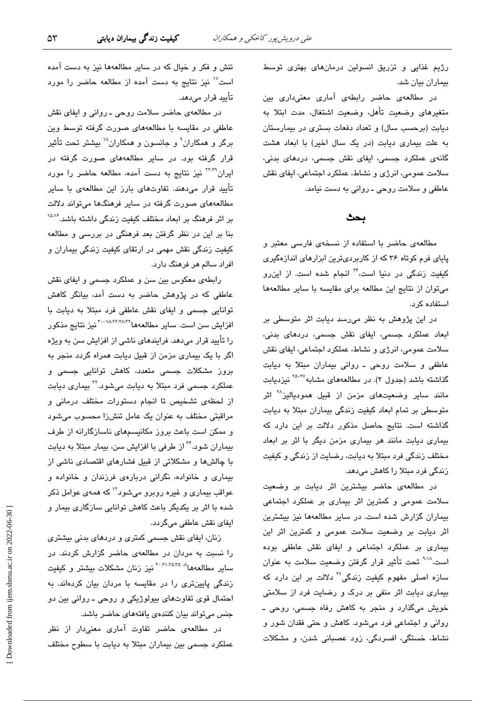رژیم غذایی و تزریق انسولین درمانهای بهتری توسط بیماران بیان شد.

در مطالعهی حاضر رابطهی آماری معنیداری بین متغیرهای وضعیت تأهل، وضعیت اشتغال، مدت ابتلا به ديابت (برحسب سال) و تعداد دفعات بسترى در بيمارستان به علت بیماری دیابت (در یک سال اخیر) با ابعاد هشت گانهی عملکرد جسمی، ایفای نقش جسمی، دردهای بدنی، سلامت عمومی، انرژی و نشاط، عملکرد اجتماعی، ایفای نقش عاطفی و سلامت روحی ـ روانی به دست نیامد.

### ىحث

مطالعهی حاضر با استفاده از نسخهی فارسی معتبر و پایای فرم کوتاه ۳۶ که از کاربردیترین ابزارهای اندازهگیری کیفیت زندگ*ی* در دنیا است،<sup>۲۲</sup> انجام شده است. از این٫رو می توان از نتایج این مطالعه برای مقایسه با سایر مطالعهها استفاده کرد.

در این پژوهش به نظر میرسد دیابت اثر متوسطی بر ابعاد عملکرد جسمی، ایفای نقش جسمی، دردهای بدنی، سلامت عمومی، انرژی و نشاط، عملکرد اجتماعی، ایفای نقش عاطفي و سلامت روحي ـ رواني بيماران مبتلا به ديابت گذاشته باشد (جدول ۲). در مطالعههای مشابه<sup>۲۷-۲۵</sup> نیزدیابت مانند سایر وضعیتهای مزمن از قبیل همودیالیز<sup>۲۸</sup> اثر متوسطی بر تمام ابعاد کیفیت زندگی بیماران مبتلا به دیابت گذاشته است. نتایج حاصل مذکور دلالت بر این دارد که بیماری دیابت مانند هر بیماری مزمن دیگر با اثر بر ابعاد مختلف زندگی فرد مبتلا به دیابت، رضایت از زندگی و کیفیت زندگی فرد منتلا را کاهش مے،دهد.

در مطالعهی حاضر بیشترین اثر دیابت بر وضعیت سلامت عمومی و کمترین اثر بیماری بر عملکرد اجتماعی بیماران گزارش شده است. در سایر مطالعهها نیز بیشترین اثر دیابت بر وضعیت سلامت عمومی و کمترین اثر این بیماری بر عملکرد اجتماعی و ایفای نقش عاطفی بوده است.<sup>۹۰۱۸</sup> تحت تأثیر قرار گرفتن وضعیت سلامت به عنوان سازه اصلی مفهوم کیفیت زندگی<sup>۲۹</sup> دلالت بر این دارد که بیماری دیابت اثر منفی بر درک و رضایت فرد از سلامتی خویش میگذارد و منجر به کاهش رفاه جسمی، روحی ـ روانی و اجتماعی فرد میشود. کاهش و حتی فقدان شور و نشاط، خستگی، افسردگی، زود عصبانی شدن، و مشکلات

تنش و فکر و خیال که در سایر مطالعهها نیز به دست آمده است<sup>۷</sup>' نیز نتایج به دست آمده از مطالعه حاضر را مورد تأىيد قرار مے،دھد.

در مطالعهی حاضر سلامت روحی ـ روانی و ایفای نقش عاطفی در مقایسه با مطالعههای صورت گرفته توسط وین برگر و همکاران ْ و جانسون و همکاران ُ ٰ بیشتر تحت تأثیر قرار گرفته بود. در سایر مطالعههای صورت گرفته در ایران<sup>۳۲٬۲۹</sup> نیز نتایج به دست آمده، مطالعه حاضر را مورد تأیید قرار میدهند. تفاوتهای بارز این مطالعهی با سایر مطالعههای صورت گرفته در سایر فرهنگها میتواند دلالت بر اثر فرهنگ بر ابعاد مختلف کیفیت زندگی داشته باشد.<sup>۱۵،۱۶</sup> بنا بر این در نظر گرفتن بعد فرهنگی در بررسی و مطالعه کیفیت زندگی نقش مهمی در ارتقای کیفیت زندگی بیماران و افراد سالم هر فرهنگ دارد.

رابطهی معکوس بین سن و عملکرد جسمی و ایفای نقش عاطفی که در پژوهش حاضر به دست آمد، بیانگر کاهش توانایی جسمی و ایفای نقش عاطفی فرد مبتلا به دیابت با افزایش سن است. سایر مطالعهها<sup>۲۰-۱۸،۲۶،۲۸۳۲</sup> نیز نتایج مذکور را تأیید قرار میدهد. فرایندهای ناشی از افزایش سن به ویژه اگر با یک بیماری مزمن از قبیل دیابت همراه گردد منجر به ۔<br>بروز مشکلات جسمے متعدد، کاھش توانائے جسمے و عملکرد جسمی فرد مبتلا به دیابت میشود.<sup>۳۲</sup> بیماری دیابت از لحظهى تشخيص تا انجام دستورات مختلف درمانى و مراقبتی مختلف به عنوان یک عامل تنشزا محسوب میشود و ممکن است باعث بروز مکانیسمهای ناسازگارانه از طرف بیماران شود.<sup>۳۴</sup> از طرفی با افزایش سن، بیمار مبتلا به دیابت با چالشها و مشکلاتی از قبیل فشارهای اقتصادی ناشی از بیماری و خانواده، نگرانی دربارهی فرزندان و خانواده و عواقب بیماری و غیره روبرو میشود<sup>۱۲</sup> که همهی عوامل ذکر شده با اثر بر یکدیگر باعث کاهش توانایی سازگاری بیمار و ايفاي نقش عاطفي ميگردد.

زنان، ایفای نقش جسمی کمتری و دردهای بدنی بیشتری را نسبت به مردان در مطالعهی حاضر گزارش کردند. در ساىر مطالعەھا<sup>→ ۲۰،۸۱،۷۵۳۵ </sup>نيز زنان مشكلات بيشتر و كيفيت زندگی پایینتری را در مقایسه با مردان بیان کردهاند. به احتمال قوی تفاوتهای بیولوژیکی و روحی ـ روانی بین دو جنس میتواند بیان کنندهی یافتههای حاضر باشد.

در مطالعهی حاضر تفاوت آماری معنیدار از نظر عملکرد جسمی بین بیماران مبتلا به دیابت با سطوح مختلف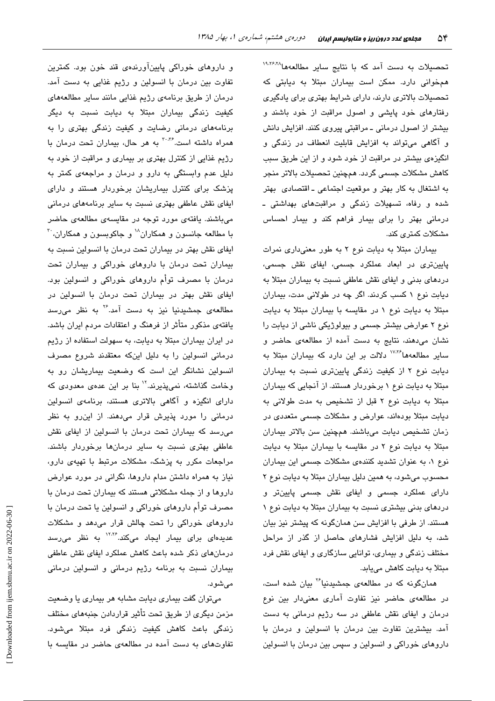تحصیلات به دست آمد که با نتایج سایر مطالعهها<sup>۱۹٬۲۶٬۲۸</sup> همخوانی دارد. ممکن است بیماران مبتلا به دیابتی که تحصیلات بالاتری دارند، دارای شرایط بهتری برای یادگیری رفتارهای خود پایشی و اصول مراقبت از خود باشند و بیشتر از اصول درمانی ـ مراقبتی پیروی کنند. افزایش دانش و آگاهی میتواند به افزایش قابلیت انعطاف در زندگی و انگیزهی بیشتر در مراقبت از خود شود و از این طریق سبب كاهش مشكلات جسمي گردد. همچنين تحصيلات بالاتر منجر به اشتغال به کار بهتر و موقعیت اجتماعی ـ اقتصادی بهتر شده و رفاه، تسهیلات زندگی و مراقبتهای بهداشتی ـ درمانی بهتر را برای بیمار فراهم کند و بیمار احساس مشکلات کمتری کند.

بیماران مبتلا به دیابت نوع ٢ به طور معنیداری نمرات پایینتری در ابعاد عملکرد جسمی، ایفای نقش جسمی، دردهای بدنی و ایفای نقش عاطفی نسبت به بیماران مبتلا به دیابت نوع ۱ کسب کردند. اگر چه در طولانی مدت، بیماران مبتلا به دیابت نوع ١ در مقایسه با بیماران مبتلا به دیابت نوع ۲ عوارض بیشتر جسمی و بیولوژیکی ناشی از دیابت را نشان میدهند، نتایج به دست آمده از مطالعهی حاضر و سایر مطالعهها<sup>۱۷،۲۶</sup> دلالت بر این دارد که بیماران مبتلا به دیابت نوع ۲ از کیفیت زندگی پایینتری نسبت به بیماران مبتلا به دیابت نوع ۱ برخوردار هستند. از آنجایی که بیماران مبتلا به دیابت نوع ٢ قبل از تشخیص به مدت طولانی به دیابت مبتلا بودهاند، عوارض و مشکلات جسمی متعددی در زمان تشخيص ديابت مىباشند. همچنين سن بالاتر بيماران مبتلا به دیابت نوع ٢ در مقایسه با بیماران مبتلا به دیابت نوع ۱، به عنوان تشدید کنندهی مشکلات جسمی این بیماران محسوب میشود، به همین دلیل بیماران مبتلا به دیابت نوع ٢ دارای عملکرد جسمی و ایفای نقش جسمی پایینتر و دردهای بدنی بیشتری نسبت به بیماران مبتلا به دیابت نوع ۱ هستند. از طرفی با افزایش سن همانگونه که پیشتر نیز بیان شد، به دلیل افزایش فشارهای حاصل از گذر از مراحل مختلف زندگی و بیماری، توانایی سازگاری و ایفای نقش فرد مبتلا به دیابت کاهش مییابد.

همانگونه که در مطالعهی جمشیدنیا<sup>۲۶</sup> بیان شده است، در مطالعهی حاضر نیز تفاوت آماری معنیدار بین نوع درمان و ایفای نقش عاطفی در سه رژیم درمانی به دست آمد. بیشترین تفاوت بین درمان با انسولین و درمان با داروهای خوراکی و انسولین و سپس بین درمان با انسولین

و داروهای خوراکی پایینآورندهی قند خون بود. کمترین تفاوت بين درمان با انسولين و رژيم غذايي به دست آمد. درمان از طریق برنامهی رژیم غذایی مانند سایر مطالعههای کیفیت زندگی بیماران مبتلا به دیابت نسبت به دیگر برنامههای درمانی رضایت و کیفیت زندگی بهتری را به همراه داشته است.<sup>۳۰،۳</sup> به هر حال، بیماران تحت درمان با رژیم غذایی از کنترل بهتری بر بیماری و مراقبت از خود به دلیل عدم وابستگی به دارو و درمان و مراجعهی کمتر به پزشک برای کنترل بیماریشان برخوردار هستند و دارای ایفای نقش عاطفی بهتری نسبت به سایر برنامههای درمانی میباشند. یافتهی مورد توجه در مقایسهی مطالعهی حاضر با مطالعه جانسون و همکاران<sup>۱۸</sup> و جاکوبسون و همکاران<sup>۳۰</sup> ایفای نقش بهتر در بیماران تحت درمان با انسولین نسبت به بیماران تحت درمان با داروهای خوراکی و بیماران تحت درمان با مصرف توأم داروهای خوراکی و انسولین بود. ایفای نقش بهتر در بیماران تحت درمان با انسولین در مطالعهی جمشیدنیا نیز به دست آمد.<sup>۲۶</sup> به نظر م<sub>ی</sub>رسد یافتهی مذکور متأثر از فرهنگ و اعتقادات مردم ایران باشد. در ایران بیماران مبتلا به دیابت، به سهولت استفاده از رژیم درمانی انسولین را به دلیل اینکه معتقدند شروع مصرف انسولین نشانگر این است که وضعیت بیماریشان رو به وخامت گذاشته، نمیپذیرند.<sup>۱۲</sup> بنا بر این عدهی معدودی که دارای انگیزه و آگاهی بالاتری هستند، برنامهی انسولین درمانی را مورد پذیرش قرار میدهند. از این رو به نظر می رسد که بیماران تحت درمان با انسولین از ایفای نقش عاطفی بهتری نسبت به سایر درمانها برخوردار باشند. مراجعات مکرر به پزشک، مشکلات مرتبط با تهیهی دارو، نیاز به همراه داشتن مدام داروها، نگرانی در مورد عوارض داروها و از جمله مشکلاتی هستند که بیماران تحت درمان با مصرف توأم داروهای خوراکی و انسولین یا تحت درمان با داروهای خوراکی را تحت چالش قرار میدهد و مشکلات عدیدهای برای بیمار ایجاد میکند.<sup>۱۲،۲۶</sup> به نظر میرسد درمانهای ذکر شده باعث کاهش عملکرد ایفای نقش عاطفی بیماران نسبت به برنامه رژیم درمانی و انسولین درمانی مے شود.

میتوان گفت بیماری دیابت مشابه هر بیماری یا وضعیت مزمن دیگری از طریق تحت تأثیر قراردادن جنبههای مختلف زندگی باعث کاهش کیفیت زندگی فرد مبتلا میشود. تفاوتهای به دست آمده در مطالعهی حاضر در مقایسه با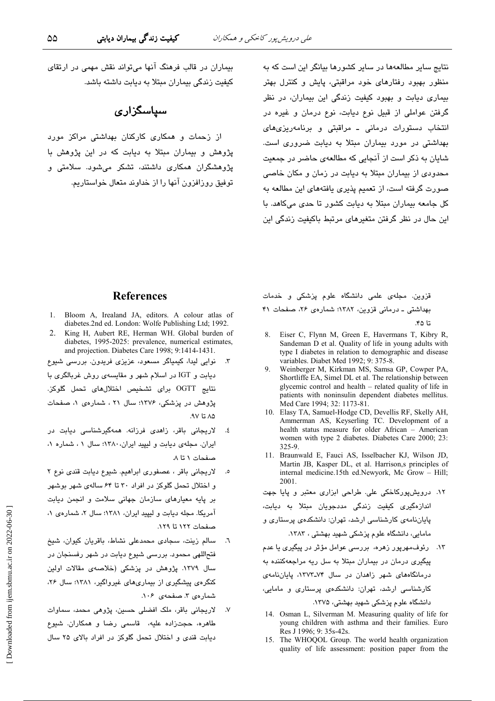کیفیت زندگی بیماران دیابتی

نتایج سایر مطالعهها در سایر کشورها بیانگر این است که به منظور بهبود رفتارهای خود مراقبتی، پایش و کنترل بهتر بیماری دیابت و بهبود کیفیت زندگی این بیماران، در نظر گرفتن عواملی از قبیل نوع دیابت، نوع درمان و غیره در انتخاب دستورات درمانی ـ مراقبتی و برنامهریزیهای بهداشتی در مورد بیماران مبتلا به دیابت ضروری است. شایان به ذکر است از آنجایی که مطالعهی حاضر در جمعیت محدودی از بیماران مبتلا به دیابت در زمان و مکان خاصی صورت گرفته است، از تعمیم پذیری یافتههای این مطالعه به کل جامعه بیماران مبتلا به دیابت کشور تا حدی میکاهد. با این حال در نظر گرفتن متغیرهای مرتبط باکیفیت زندگی این

بیماران در قالب فرهنگ آنها میتواند نقش مهمی در ارتقای کیفیت زندگی بیماران مبتلا به دیابت داشته باشد.

## سیاسگزاری

از زحمات و همکاری کارکنان بهداشتی مراکز مورد پژوهش و بیماران میتلا به دیابت که در این پژوهش با پژوهشگران همکاری داشتند، تشکر میشود. سلامتی و توفيق روزافزون آنها را از خداوند متعال خواستاريم.

#### **References**

- 1. Bloom A, Irealand JA, editors. A colour atlas of diabetes.2nd ed. London: Wolfe Publishing Ltd; 1992.
- 2 King H, Aubert RE, Herman WH. Global burden of diabetes, 1995-2025: prevalence, numerical estimates, and projection. Diabetes Care 1998; 9:1414-1431.
- نوایی لیدا، کیمیاگر مسعود، عزیزی فریدون. بررسی شیوع دیابت و IGT در اسلام شهر و مقایسه ی روش غربالگری با نتايج OGTT براي تشخيص اختلالهاي تحمل گلوكز. پژوهش در پزشکی، ۱۳۷۶؛ سال ۲۱ ، شمارهی ۱، صفحات ۸۵ تا ۹۷.
- لاریجانی باقر، زاهدی فرزانه. همهگیرشناسی دیابت در ٤. ایران. مجلهی دیابت و لیپید ایران، ۱۳۸۰؛ سال ۰۱، شماره ۰۱ صفحات ١ تا ٨
- ٥. لاريجاني باقر ، عصفوري ابراهيم. شيوع ديابت قندي نوع ٢ و اختلال تحمل گلوکز در افراد ۳۰ تا ۶۴ سالهی شهر بوشهر بر پایه معیارهای سازمان جهانی سلامت و انجمن دیابت آمریکا. مجله دیابت و لیپید ایران، ۱۳۸۱؛ سال ۲، شمارهی ۱، صفحات ١٢٢ تا ١٢٩.
- سالم زینت، سجادی محمدعلی نشاط، باقریان کیوان، شیخ  $\mathcal{F}$ . فتحاللهی محمود. بررسی شیوع دیابت در شهر رفسنجان در سال ۱۳۷۹. پژوهش در پزشکی (خلاصهی مقالات اولین کنگرهی پیشگیری از بیماریهای غیرواگیر، ۱۳۸۱؛ سال ۲۶، شمارهي ٣. صفحهي ١٠۶.
- ٧. لاريجاني باقر، ملک افضلي حسين، پژوهي محمد، سماوات طاهره، حجتزاده عليه، قاسمی رضا و همکاران. شیوع دیابت قندی و اختلال تحمل گلوکز در افراد بالای ۲۵ سال

قزوین. مجلهی علمی دانشگاه علوم پزشکی و خدمات بهداشتی ـ درمانی قزوین، ١٣٨٢؛ شمارهی ٢۶، صفحات ۴۱ تا ۲۵.

- 8. Eiser C. Flynn M. Green E. Havermans T. Kibry R. Sandeman D et al. Quality of life in young adults with type I diabetes in relation to demographic and disease variables. Diabet Med 1992; 9: 375-8.
- Weinberger M, Kirkman MS, Samsa GP, Cowper PA, Shortliffe EA, Simel DL et al. The relationship between glycemic control and health - related quality of life in patients with noninsulin dependent diabetes mellitus. Med Care 1994; 32: 1173-81.
- 10. Elasy TA, Samuel-Hodge CD, Devellis RF, Skelly AH, Ammerman AS, Keyserling TC. Development of a health status measure for older African - American women with type 2 diabetes. Diabetes Care 2000; 23:  $325 - 9$
- 11. Braunwald E, Fauci AS, Isselbacher KJ, Wilson JD, Martin JB, Kasper DL, et al. Harrison, s principles of internal medicine.15th ed.Newyork, Mc Grow - Hill; 2001

١٢. درویشپورکاخکی علی. طراحی ابزاری معتبر و پایا جهت اندازەگىرى كىفىت زندگى مددجويان مې<mark>تلا بە ديابت</mark>، پایاننامهی کارشناسی ارشد، تهران: دانشکدهی پرستاری و مامایی، دانشگاه علوم پزشکی شهید بهشتی ، ۱۳۸۳. ۱۳. رئوف،مهرپور زهره، بررس*ی* عوامل مؤثر در پیگیر*ی* یا ع*د*م پیگیری درمان در بیماران مبتلا به سل ریه مراجعهکننده به درمانگاههای شهر زاهدان در سال ۷۴-۱۳۷۳، پایاننامهی کارشناسی ارشد، تهران: دانشکدهی پرستاری و مامایی، دانشگاه علوم پزشکی شهید بهشتی، ۱۳۷۵.

- 14. Osman L, Silverman M. Measuring quality of life for young children with asthma and their families. Euro Res J 1996: 9: 35s-42s.
- 15. The WHOQOL Group. The world health organization quality of life assessment: position paper from the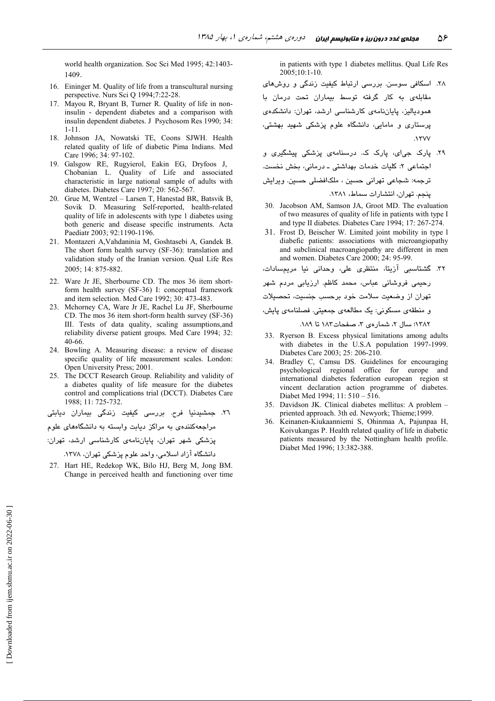world health organization. Soc Sci Med 1995; 42:1403-1409.

- 16. Eininger M. Quality of life from a transcultural nursing perspective. Nurs Sci Q 1994;7:22-28.
- 17. Mayou R, Bryant B, Turner R. Quality of life in noninsulin - dependent diabetes and a comparison with insulin dependent diabetes. J Psychosom Res 1990; 34:  $1 - 11.$
- 18. Johnson JA, Nowatski TE, Coons SJWH, Health related quality of life of diabetic Pima Indians. Med Care 1996; 34: 97-102.
- 19. Galsgow RE, Rugyierol, Eakin EG, Dryfoos J, Chobanian L. Quality of Life and associated characteristic in large national sample of adults with diabetes. Diabetes Care 1997; 20: 562-567.
- 20. Grue M, Wentzel Larsen T, Hanestad BR, Batsvik B, Sovik D. Measuring Self-reported, health-related quality of life in adolescents with type 1 diabetes using both generic and disease specific instruments. Acta Paediatr 2003; 92:1190-1196.
- 21. Montazeri A, Vahdaninia M, Goshtasebi A, Gandek B. The short form health survey (SF-36): translation and validation study of the Iranian version. Qual Life Res 2005; 14: 875-882.
- 22. Ware Jr JE, Sherbourne CD. The mos 36 item shortform health survey (SF-36) I: conceptual framework and item selection. Med Care 1992; 30: 473-483.
- 23. Mchorney CA, Ware Jr JE, Rachel Lu JF, Sherbourne CD. The mos 36 item short-form health survey (SF-36) III. Tests of data quality, scaling assumptions, and reliability diverse patient groups. Med Care 1994; 32: 40-66.
- 24. Bowling A. Measuring disease: a review of disease specific quality of life measurement scales. London: Open University Press; 2001.
- 25. The DCCT Research Group. Reliability and validity of a diabetes quality of life measure for the diabetes control and complications trial (DCCT). Diabetes Care 1988; 11: 725-732.

٢٦. جمشیدنیا فرح. بررسی کیفیت زندگی بیماران دیابتی مراجعهکنندهی به مراکز دیابت وابسته به دانشگاههای علوم

پزشکی شهر تهران، پایاننامهی کارشناسی ارشد، تهران:

دانشگاه آزاد اسلامی، واحد علوم پزشکی تهران، ۱۳۷۸.

27. Hart HE, Redekop WK, Bilo HJ, Berg M, Jong BM. Change in perceived health and functioning over time in patients with type 1 diabetes mellitus. Qual Life Res 2005;10:1-10.

- ٢٨. اسكافى سوسن. بررسى ارتباط كيفيت زندگى و روش هاى .<br>مقابلهی به کار گرفته توسط بیماران تحت درمان با همودیالیز، پایاننامهی کارشناسی ارشد، تهران: دانشکدهی پرستاری و مامایی، دانشگاه علوم پزشکی شهید بهشتی،  $\gamma$
- .<br>۲۹. یارک جیای، یارک ک. درسنامهی یزشکی پیشگیری و اجتماعی ۲: کلیات خدمات بهداشتی ـ درمانی، بخش نخست. ۔<br>ترجمه: شجاعی تهرانی حسین ، ملکافضلی حسین. ویرایش ينحم. تهران، انتشارات سماط، ١٣٨١.
- 30. Jacobson AM, Samson JA, Groot MD. The evaluation of two measures of quality of life in patients with type I and type II diabetes. Diabetes Care 1994; 17: 267-274.
- 31. Frost D, Beischer W. Limited joint mobility in type 1 diabefic patients: associations with microangiopathy and subclinical macroangiopathy are different in men and women. Diabetes Care 2000; 24: 95-99.

۱۳۸۲؛ سال ۲، شمارهی ۳، صفحات۱۸۲ تا ۱۸۹.

- 33. Ryerson B. Excess physical limitations among adults with diabetes in the U.S.A population 1997-1999. Diabetes Care 2003; 25: 206-210.
- 34. Bradley C, Camsu DS. Guidelines for encouraging psychological regional office for europe and international diabetes federation european region st vincent declaration action programme of diabetes. Diabet Med 1994; 11: 510 - 516.
- 35. Davidson JK. Clinical diabetes mellitus: A problem priented approach. 3th ed. Newyork; Thieme; 1999.
- 36. Keinanen-Kiukaanniemi S, Ohinmaa A, Pajunpaa H, Koivukangas P. Health related quality of life in diabetic patients measured by the Nottingham health profile. Diabet Med 1996; 13:382-388.